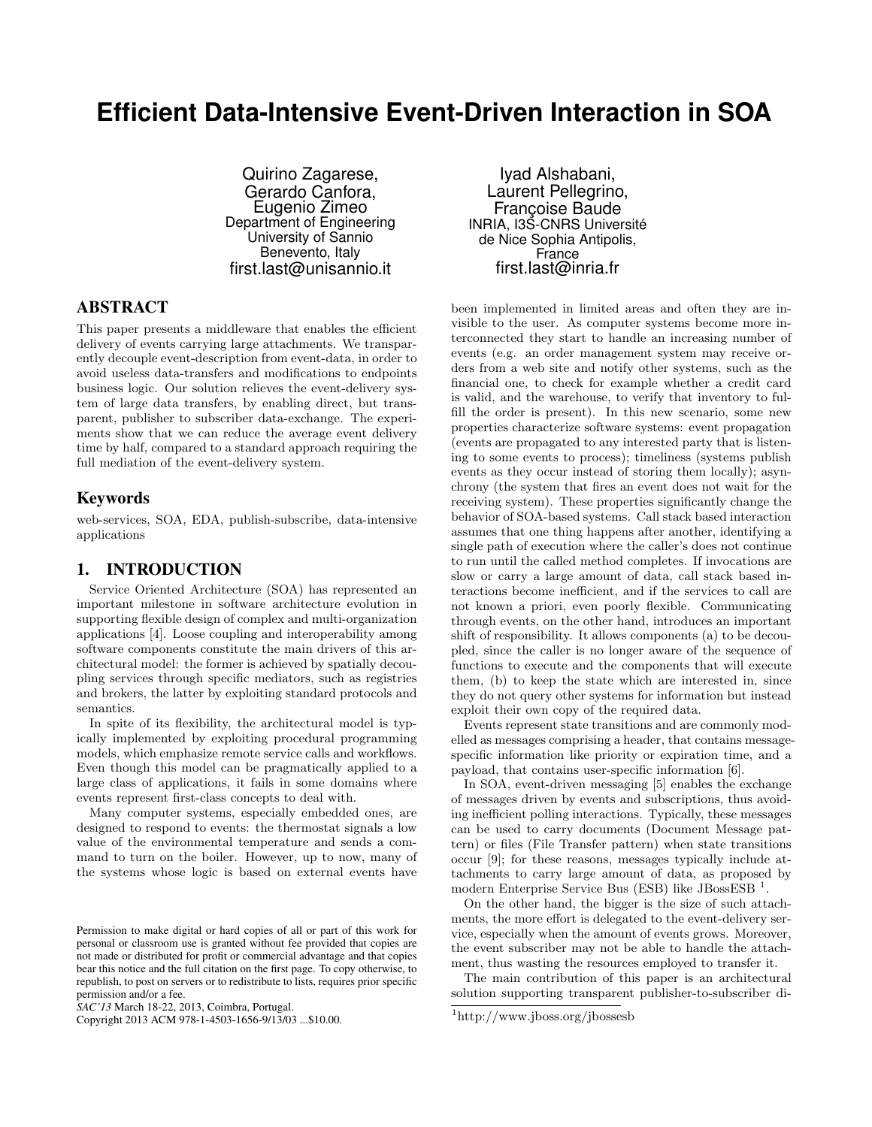# **Efficient Data-Intensive Event-Driven Interaction in SOA**

Quirino Zagarese, Gerardo Canfora, Eugenio Zimeo Department of Engineering University of Sannio Benevento, Italy first.last@unisannio.it

### ABSTRACT

This paper presents a middleware that enables the efficient delivery of events carrying large attachments. We transparently decouple event-description from event-data, in order to avoid useless data-transfers and modifications to endpoints business logic. Our solution relieves the event-delivery system of large data transfers, by enabling direct, but transparent, publisher to subscriber data-exchange. The experiments show that we can reduce the average event delivery time by half, compared to a standard approach requiring the full mediation of the event-delivery system.

### Keywords

web-services, SOA, EDA, publish-subscribe, data-intensive applications

### 1. INTRODUCTION

Service Oriented Architecture (SOA) has represented an important milestone in software architecture evolution in supporting flexible design of complex and multi-organization applications [4]. Loose coupling and interoperability among software components constitute the main drivers of this architectural model: the former is achieved by spatially decoupling services through specific mediators, such as registries and brokers, the latter by exploiting standard protocols and semantics.

In spite of its flexibility, the architectural model is typically implemented by exploiting procedural programming models, which emphasize remote service calls and workflows. Even though this model can be pragmatically applied to a large class of applications, it fails in some domains where events represent first-class concepts to deal with.

Many computer systems, especially embedded ones, are designed to respond to events: the thermostat signals a low value of the environmental temperature and sends a command to turn on the boiler. However, up to now, many of the systems whose logic is based on external events have

Copyright 2013 ACM 978-1-4503-1656-9/13/03 ...\$10.00.

Iyad Alshabani, Laurent Pellegrino, Françoise Baude INRIA, I3S-CNRS Université de Nice Sophia Antipolis, France first.last@inria.fr

been implemented in limited areas and often they are invisible to the user. As computer systems become more interconnected they start to handle an increasing number of events (e.g. an order management system may receive orders from a web site and notify other systems, such as the financial one, to check for example whether a credit card is valid, and the warehouse, to verify that inventory to fulfill the order is present). In this new scenario, some new properties characterize software systems: event propagation (events are propagated to any interested party that is listening to some events to process); timeliness (systems publish events as they occur instead of storing them locally); asynchrony (the system that fires an event does not wait for the receiving system). These properties significantly change the behavior of SOA-based systems. Call stack based interaction assumes that one thing happens after another, identifying a single path of execution where the caller's does not continue to run until the called method completes. If invocations are slow or carry a large amount of data, call stack based interactions become inefficient, and if the services to call are not known a priori, even poorly flexible. Communicating through events, on the other hand, introduces an important shift of responsibility. It allows components (a) to be decoupled, since the caller is no longer aware of the sequence of functions to execute and the components that will execute them, (b) to keep the state which are interested in, since they do not query other systems for information but instead exploit their own copy of the required data.

Events represent state transitions and are commonly modelled as messages comprising a header, that contains messagespecific information like priority or expiration time, and a payload, that contains user-specific information [6].

In SOA, event-driven messaging [5] enables the exchange of messages driven by events and subscriptions, thus avoiding inefficient polling interactions. Typically, these messages can be used to carry documents (Document Message pattern) or files (File Transfer pattern) when state transitions occur [9]; for these reasons, messages typically include attachments to carry large amount of data, as proposed by modern Enterprise Service Bus (ESB) like JBossESB<sup>1</sup>.

On the other hand, the bigger is the size of such attachments, the more effort is delegated to the event-delivery service, especially when the amount of events grows. Moreover, the event subscriber may not be able to handle the attachment, thus wasting the resources employed to transfer it.

The main contribution of this paper is an architectural solution supporting transparent publisher-to-subscriber di-

Permission to make digital or hard copies of all or part of this work for personal or classroom use is granted without fee provided that copies are not made or distributed for profit or commercial advantage and that copies bear this notice and the full citation on the first page. To copy otherwise, to republish, to post on servers or to redistribute to lists, requires prior specific permission and/or a fee.

*SAC'13* March 18-22, 2013, Coimbra, Portugal.

<sup>1</sup>http://www.jboss.org/jbossesb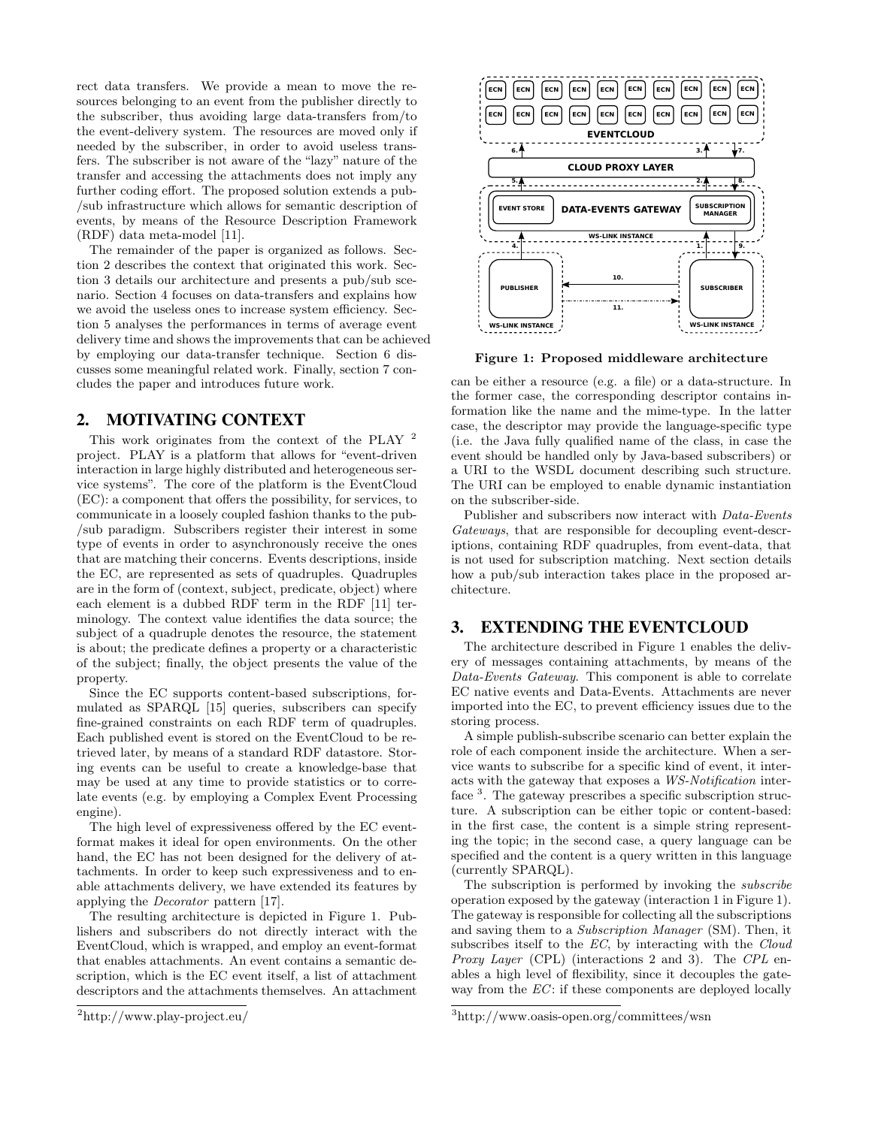rect data transfers. We provide a mean to move the resources belonging to an event from the publisher directly to the subscriber, thus avoiding large data-transfers from/to the event-delivery system. The resources are moved only if needed by the subscriber, in order to avoid useless transfers. The subscriber is not aware of the "lazy" nature of the transfer and accessing the attachments does not imply any further coding effort. The proposed solution extends a pub- /sub infrastructure which allows for semantic description of events, by means of the Resource Description Framework (RDF) data meta-model [11].

The remainder of the paper is organized as follows. Section 2 describes the context that originated this work. Section 3 details our architecture and presents a pub/sub scenario. Section 4 focuses on data-transfers and explains how we avoid the useless ones to increase system efficiency. Section 5 analyses the performances in terms of average event delivery time and shows the improvements that can be achieved by employing our data-transfer technique. Section 6 discusses some meaningful related work. Finally, section 7 concludes the paper and introduces future work.

### 2. MOTIVATING CONTEXT

This work originates from the context of the PLAY <sup>2</sup> project. PLAY is a platform that allows for "event-driven interaction in large highly distributed and heterogeneous service systems". The core of the platform is the EventCloud (EC): a component that offers the possibility, for services, to communicate in a loosely coupled fashion thanks to the pub- /sub paradigm. Subscribers register their interest in some type of events in order to asynchronously receive the ones that are matching their concerns. Events descriptions, inside the EC, are represented as sets of quadruples. Quadruples are in the form of (context, subject, predicate, object) where each element is a dubbed RDF term in the RDF [11] terminology. The context value identifies the data source; the subject of a quadruple denotes the resource, the statement is about; the predicate defines a property or a characteristic of the subject; finally, the object presents the value of the property.

Since the EC supports content-based subscriptions, formulated as SPARQL [15] queries, subscribers can specify fine-grained constraints on each RDF term of quadruples. Each published event is stored on the EventCloud to be retrieved later, by means of a standard RDF datastore. Storing events can be useful to create a knowledge-base that may be used at any time to provide statistics or to correlate events (e.g. by employing a Complex Event Processing engine).

The high level of expressiveness offered by the EC eventformat makes it ideal for open environments. On the other hand, the EC has not been designed for the delivery of attachments. In order to keep such expressiveness and to enable attachments delivery, we have extended its features by applying the Decorator pattern [17].

The resulting architecture is depicted in Figure 1. Publishers and subscribers do not directly interact with the EventCloud, which is wrapped, and employ an event-format that enables attachments. An event contains a semantic description, which is the EC event itself, a list of attachment descriptors and the attachments themselves. An attachment



Figure 1: Proposed middleware architecture

can be either a resource (e.g. a file) or a data-structure. In the former case, the corresponding descriptor contains information like the name and the mime-type. In the latter case, the descriptor may provide the language-specific type (i.e. the Java fully qualified name of the class, in case the event should be handled only by Java-based subscribers) or a URI to the WSDL document describing such structure. The URI can be employed to enable dynamic instantiation on the subscriber-side.

Publisher and subscribers now interact with Data-Events Gateways, that are responsible for decoupling event-descriptions, containing RDF quadruples, from event-data, that is not used for subscription matching. Next section details how a pub/sub interaction takes place in the proposed architecture.

### 3. EXTENDING THE EVENTCLOUD

The architecture described in Figure 1 enables the delivery of messages containing attachments, by means of the Data-Events Gateway. This component is able to correlate EC native events and Data-Events. Attachments are never imported into the EC, to prevent efficiency issues due to the storing process.

A simple publish-subscribe scenario can better explain the role of each component inside the architecture. When a service wants to subscribe for a specific kind of event, it interacts with the gateway that exposes a WS-Notification interface <sup>3</sup>. The gateway prescribes a specific subscription structure. A subscription can be either topic or content-based: in the first case, the content is a simple string representing the topic; in the second case, a query language can be specified and the content is a query written in this language (currently SPARQL).

The subscription is performed by invoking the subscribe operation exposed by the gateway (interaction 1 in Figure 1). The gateway is responsible for collecting all the subscriptions and saving them to a Subscription Manager (SM). Then, it subscribes itself to the EC, by interacting with the Cloud Proxy Layer (CPL) (interactions 2 and 3). The CPL enables a high level of flexibility, since it decouples the gateway from the EC: if these components are deployed locally

<sup>2</sup>http://www.play-project.eu/

<sup>3</sup>http://www.oasis-open.org/committees/wsn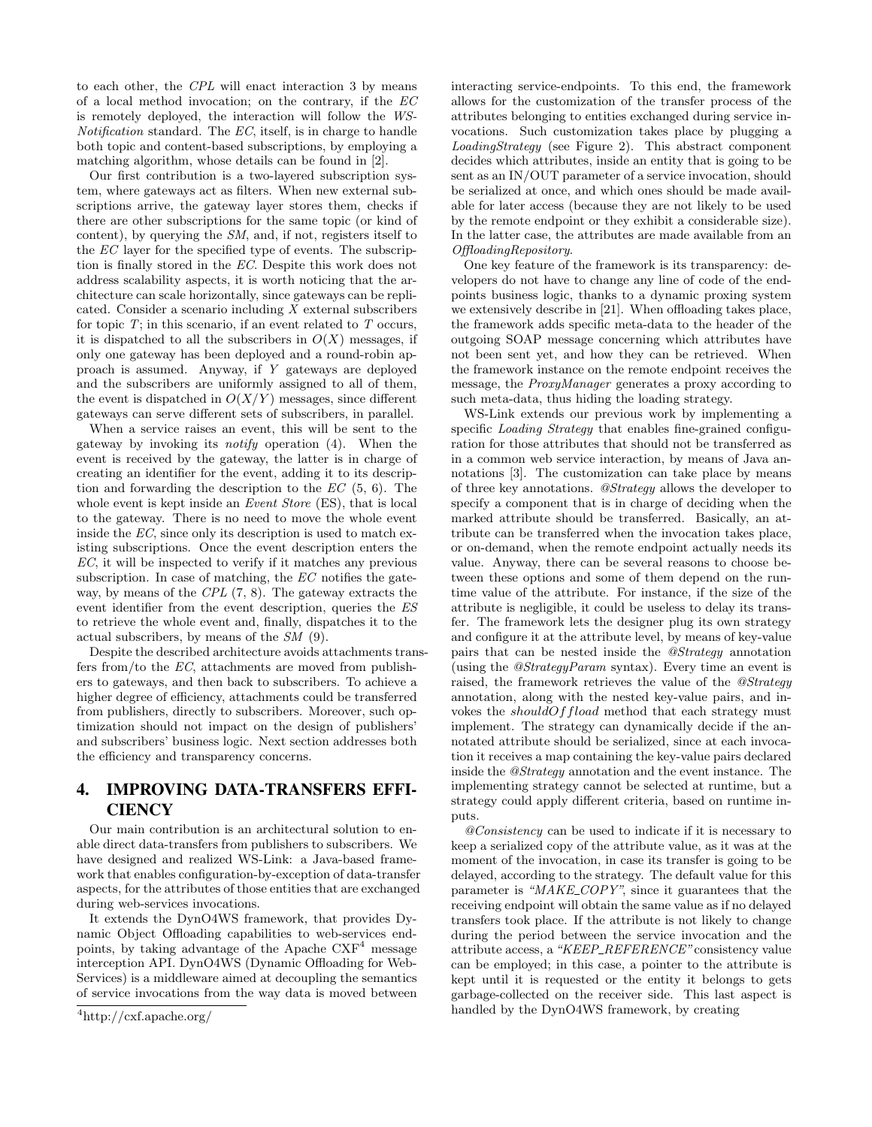to each other, the CPL will enact interaction 3 by means of a local method invocation; on the contrary, if the EC is remotely deployed, the interaction will follow the WS-Notification standard. The EC, itself, is in charge to handle both topic and content-based subscriptions, by employing a matching algorithm, whose details can be found in [2].

Our first contribution is a two-layered subscription system, where gateways act as filters. When new external subscriptions arrive, the gateway layer stores them, checks if there are other subscriptions for the same topic (or kind of content), by querying the SM, and, if not, registers itself to the EC layer for the specified type of events. The subscription is finally stored in the EC. Despite this work does not address scalability aspects, it is worth noticing that the architecture can scale horizontally, since gateways can be replicated. Consider a scenario including  $X$  external subscribers for topic  $T$ ; in this scenario, if an event related to  $T$  occurs, it is dispatched to all the subscribers in  $O(X)$  messages, if only one gateway has been deployed and a round-robin approach is assumed. Anyway, if Y gateways are deployed and the subscribers are uniformly assigned to all of them, the event is dispatched in  $O(X/Y)$  messages, since different gateways can serve different sets of subscribers, in parallel.

When a service raises an event, this will be sent to the gateway by invoking its notify operation (4). When the event is received by the gateway, the latter is in charge of creating an identifier for the event, adding it to its description and forwarding the description to the  $EC$  (5, 6). The whole event is kept inside an *Event Store* (ES), that is local to the gateway. There is no need to move the whole event inside the EC, since only its description is used to match existing subscriptions. Once the event description enters the EC, it will be inspected to verify if it matches any previous subscription. In case of matching, the  $EC$  notifies the gateway, by means of the CPL (7, 8). The gateway extracts the event identifier from the event description, queries the ES to retrieve the whole event and, finally, dispatches it to the actual subscribers, by means of the SM (9).

Despite the described architecture avoids attachments transfers from/to the EC, attachments are moved from publishers to gateways, and then back to subscribers. To achieve a higher degree of efficiency, attachments could be transferred from publishers, directly to subscribers. Moreover, such optimization should not impact on the design of publishers' and subscribers' business logic. Next section addresses both the efficiency and transparency concerns.

## 4. IMPROVING DATA-TRANSFERS EFFI-**CIENCY**

Our main contribution is an architectural solution to enable direct data-transfers from publishers to subscribers. We have designed and realized WS-Link: a Java-based framework that enables configuration-by-exception of data-transfer aspects, for the attributes of those entities that are exchanged during web-services invocations.

It extends the DynO4WS framework, that provides Dynamic Object Offloading capabilities to web-services endpoints, by taking advantage of the Apache  $\text{CXF}^4$  message interception API. DynO4WS (Dynamic Offloading for Web-Services) is a middleware aimed at decoupling the semantics of service invocations from the way data is moved between

interacting service-endpoints. To this end, the framework allows for the customization of the transfer process of the attributes belonging to entities exchanged during service invocations. Such customization takes place by plugging a LoadingStrategy (see Figure 2). This abstract component decides which attributes, inside an entity that is going to be sent as an IN/OUT parameter of a service invocation, should be serialized at once, and which ones should be made available for later access (because they are not likely to be used by the remote endpoint or they exhibit a considerable size). In the latter case, the attributes are made available from an OffloadingRepository.

One key feature of the framework is its transparency: developers do not have to change any line of code of the endpoints business logic, thanks to a dynamic proxing system we extensively describe in [21]. When offloading takes place, the framework adds specific meta-data to the header of the outgoing SOAP message concerning which attributes have not been sent yet, and how they can be retrieved. When the framework instance on the remote endpoint receives the message, the ProxyManager generates a proxy according to such meta-data, thus hiding the loading strategy.

WS-Link extends our previous work by implementing a specific Loading Strategy that enables fine-grained configuration for those attributes that should not be transferred as in a common web service interaction, by means of Java annotations [3]. The customization can take place by means of three key annotations. @Strategy allows the developer to specify a component that is in charge of deciding when the marked attribute should be transferred. Basically, an attribute can be transferred when the invocation takes place, or on-demand, when the remote endpoint actually needs its value. Anyway, there can be several reasons to choose between these options and some of them depend on the runtime value of the attribute. For instance, if the size of the attribute is negligible, it could be useless to delay its transfer. The framework lets the designer plug its own strategy and configure it at the attribute level, by means of key-value pairs that can be nested inside the @Strategy annotation (using the @StrategyParam syntax). Every time an event is raised, the framework retrieves the value of the @Strategy annotation, along with the nested key-value pairs, and invokes the *shouldOffload* method that each strategy must implement. The strategy can dynamically decide if the annotated attribute should be serialized, since at each invocation it receives a map containing the key-value pairs declared inside the @Strategy annotation and the event instance. The implementing strategy cannot be selected at runtime, but a strategy could apply different criteria, based on runtime inputs.

@Consistency can be used to indicate if it is necessary to keep a serialized copy of the attribute value, as it was at the moment of the invocation, in case its transfer is going to be delayed, according to the strategy. The default value for this parameter is "MAKE COPY", since it guarantees that the receiving endpoint will obtain the same value as if no delayed transfers took place. If the attribute is not likely to change during the period between the service invocation and the attribute access, a"KEEP REFERENCE"consistency value can be employed; in this case, a pointer to the attribute is kept until it is requested or the entity it belongs to gets garbage-collected on the receiver side. This last aspect is handled by the DynO4WS framework, by creating

<sup>4</sup>http://cxf.apache.org/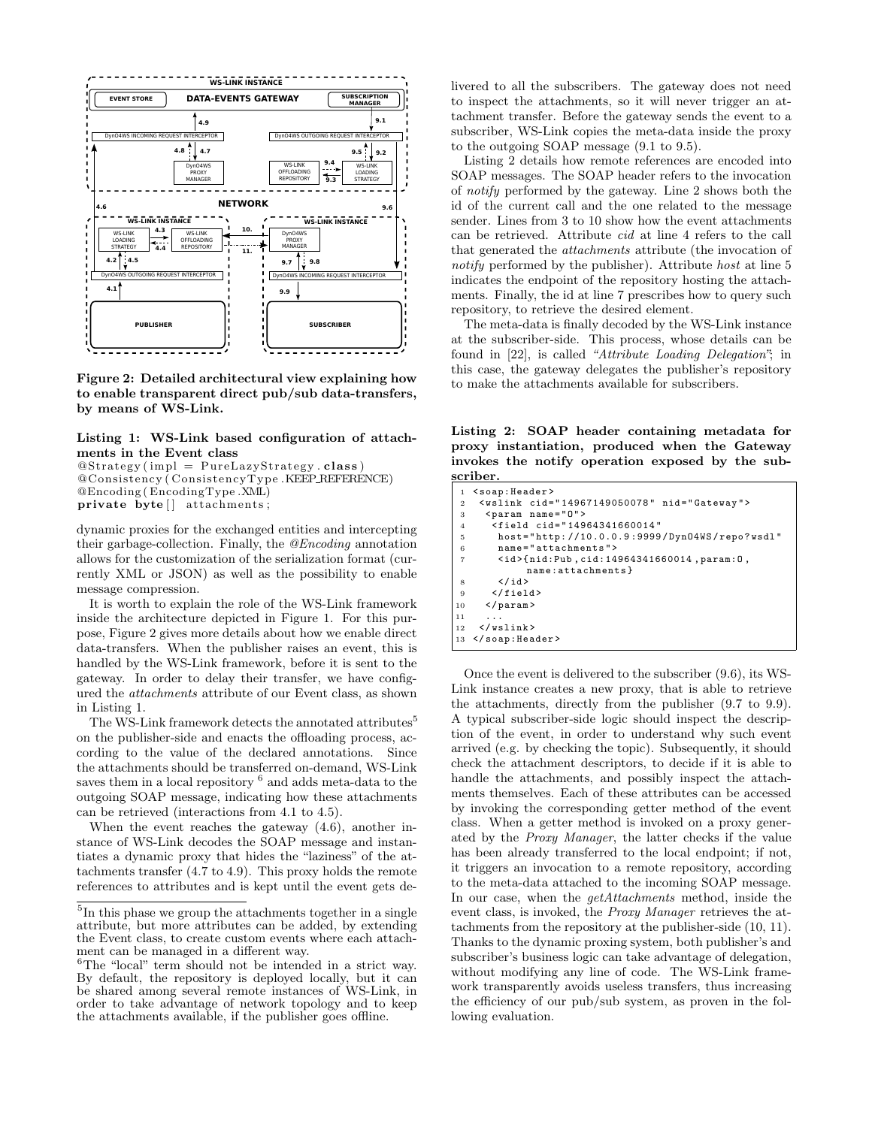

Figure 2: Detailed architectural view explaining how to enable transparent direct pub/sub data-transfers, by means of WS-Link.

Listing 1: WS-Link based configuration of attachments in the Event class

```
@Strategy(impl = PureLazyStrategy.class)@Consistency ( ConsistencyType .KEEP REFERENCE)
@Encoding ( EncodingType .XML)
private byte[] attachments;
```
dynamic proxies for the exchanged entities and intercepting their garbage-collection. Finally, the @Encoding annotation allows for the customization of the serialization format (currently XML or JSON) as well as the possibility to enable message compression.

It is worth to explain the role of the WS-Link framework inside the architecture depicted in Figure 1. For this purpose, Figure 2 gives more details about how we enable direct data-transfers. When the publisher raises an event, this is handled by the WS-Link framework, before it is sent to the gateway. In order to delay their transfer, we have configured the attachments attribute of our Event class, as shown in Listing 1.

The WS-Link framework detects the annotated attributes<sup>5</sup> on the publisher-side and enacts the offloading process, according to the value of the declared annotations. Since the attachments should be transferred on-demand, WS-Link saves them in a local repository  $^6$  and adds meta-data to the outgoing SOAP message, indicating how these attachments can be retrieved (interactions from 4.1 to 4.5).

When the event reaches the gateway (4.6), another instance of WS-Link decodes the SOAP message and instantiates a dynamic proxy that hides the "laziness" of the attachments transfer (4.7 to 4.9). This proxy holds the remote references to attributes and is kept until the event gets delivered to all the subscribers. The gateway does not need to inspect the attachments, so it will never trigger an attachment transfer. Before the gateway sends the event to a subscriber, WS-Link copies the meta-data inside the proxy to the outgoing SOAP message (9.1 to 9.5).

Listing 2 details how remote references are encoded into SOAP messages. The SOAP header refers to the invocation of notify performed by the gateway. Line 2 shows both the id of the current call and the one related to the message sender. Lines from 3 to 10 show how the event attachments can be retrieved. Attribute cid at line 4 refers to the call that generated the attachments attribute (the invocation of notify performed by the publisher). Attribute host at line 5 indicates the endpoint of the repository hosting the attachments. Finally, the id at line 7 prescribes how to query such repository, to retrieve the desired element.

The meta-data is finally decoded by the WS-Link instance at the subscriber-side. This process, whose details can be found in [22], is called "Attribute Loading Delegation"; in this case, the gateway delegates the publisher's repository to make the attachments available for subscribers.

Listing 2: SOAP header containing metadata for proxy instantiation, produced when the Gateway invokes the notify operation exposed by the subscriber.

```
1 < soap:Header >
2 < wslink cid="14967149050078" nid="Gateway">
3 <param name="0">
4 \checkmark field cid="14964341660014"<br>5 host="http://10.0.0.9:9999
5 host = "http://10.0.0.9:9999/Dyn04WS/repo?wsdl"<br>6 name = "attachments"name="attachments">
         7 < id >{ nid:Pub , cid:14964341660014 , param:O ,
              name:attachments }
         \langle/id>
9 </field>
10 </ param >
1112 </wslink><br>13 </soap:Hea
   13 </ soap:Header >
```
Once the event is delivered to the subscriber (9.6), its WS-Link instance creates a new proxy, that is able to retrieve the attachments, directly from the publisher (9.7 to 9.9). A typical subscriber-side logic should inspect the description of the event, in order to understand why such event arrived (e.g. by checking the topic). Subsequently, it should check the attachment descriptors, to decide if it is able to handle the attachments, and possibly inspect the attachments themselves. Each of these attributes can be accessed by invoking the corresponding getter method of the event class. When a getter method is invoked on a proxy generated by the Proxy Manager, the latter checks if the value has been already transferred to the local endpoint; if not, it triggers an invocation to a remote repository, according to the meta-data attached to the incoming SOAP message. In our case, when the *getAttachments* method, inside the event class, is invoked, the Proxy Manager retrieves the attachments from the repository at the publisher-side (10, 11). Thanks to the dynamic proxing system, both publisher's and subscriber's business logic can take advantage of delegation, without modifying any line of code. The WS-Link framework transparently avoids useless transfers, thus increasing the efficiency of our pub/sub system, as proven in the following evaluation.

<sup>&</sup>lt;sup>5</sup>In this phase we group the attachments together in a single attribute, but more attributes can be added, by extending the Event class, to create custom events where each attachment can be managed in a different way.

<sup>&</sup>lt;sup>6</sup>The "local" term should not be intended in a strict way. By default, the repository is deployed locally, but it can be shared among several remote instances of WS-Link, in order to take advantage of network topology and to keep the attachments available, if the publisher goes offline.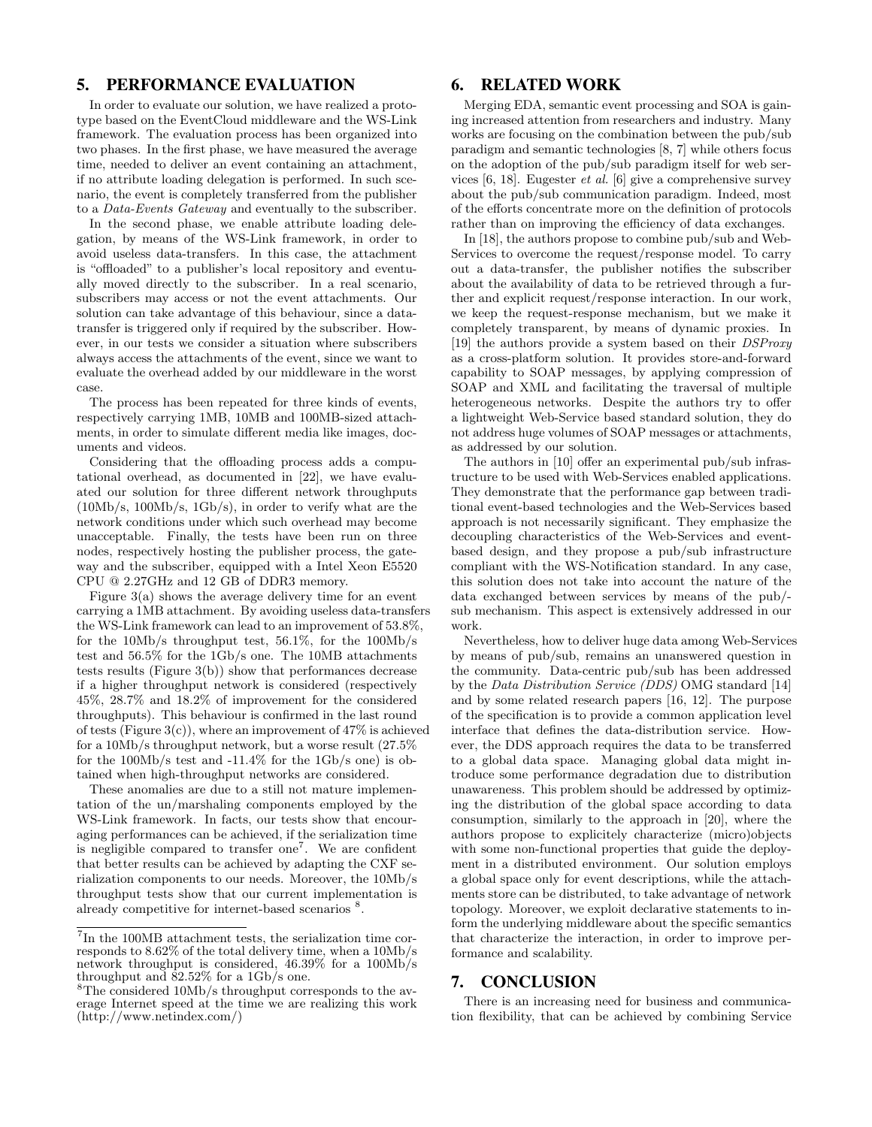### 5. PERFORMANCE EVALUATION

In order to evaluate our solution, we have realized a prototype based on the EventCloud middleware and the WS-Link framework. The evaluation process has been organized into two phases. In the first phase, we have measured the average time, needed to deliver an event containing an attachment, if no attribute loading delegation is performed. In such scenario, the event is completely transferred from the publisher to a Data-Events Gateway and eventually to the subscriber.

In the second phase, we enable attribute loading delegation, by means of the WS-Link framework, in order to avoid useless data-transfers. In this case, the attachment is "offloaded" to a publisher's local repository and eventually moved directly to the subscriber. In a real scenario, subscribers may access or not the event attachments. Our solution can take advantage of this behaviour, since a datatransfer is triggered only if required by the subscriber. However, in our tests we consider a situation where subscribers always access the attachments of the event, since we want to evaluate the overhead added by our middleware in the worst case.

The process has been repeated for three kinds of events, respectively carrying 1MB, 10MB and 100MB-sized attachments, in order to simulate different media like images, documents and videos.

Considering that the offloading process adds a computational overhead, as documented in [22], we have evaluated our solution for three different network throughputs (10Mb/s, 100Mb/s, 1Gb/s), in order to verify what are the network conditions under which such overhead may become unacceptable. Finally, the tests have been run on three nodes, respectively hosting the publisher process, the gateway and the subscriber, equipped with a Intel Xeon E5520 CPU @ 2.27GHz and 12 GB of DDR3 memory.

Figure 3(a) shows the average delivery time for an event carrying a 1MB attachment. By avoiding useless data-transfers the WS-Link framework can lead to an improvement of 53.8%, for the 10Mb/s throughput test, 56.1%, for the 100Mb/s test and 56.5% for the 1Gb/s one. The 10MB attachments tests results (Figure 3(b)) show that performances decrease if a higher throughput network is considered (respectively 45%, 28.7% and 18.2% of improvement for the considered throughputs). This behaviour is confirmed in the last round of tests (Figure 3(c)), where an improvement of  $47\%$  is achieved for a 10Mb/s throughput network, but a worse result (27.5% for the 100Mb/s test and -11.4% for the 1Gb/s one) is obtained when high-throughput networks are considered.

These anomalies are due to a still not mature implementation of the un/marshaling components employed by the WS-Link framework. In facts, our tests show that encouraging performances can be achieved, if the serialization time is negligible compared to transfer one<sup>7</sup>. We are confident that better results can be achieved by adapting the CXF serialization components to our needs. Moreover, the 10Mb/s throughput tests show that our current implementation is already competitive for internet-based scenarios  $8$ .

### 6. RELATED WORK

Merging EDA, semantic event processing and SOA is gaining increased attention from researchers and industry. Many works are focusing on the combination between the pub/sub paradigm and semantic technologies [8, 7] while others focus on the adoption of the pub/sub paradigm itself for web services [6, 18]. Eugester et al. [6] give a comprehensive survey about the pub/sub communication paradigm. Indeed, most of the efforts concentrate more on the definition of protocols rather than on improving the efficiency of data exchanges.

In [18], the authors propose to combine pub/sub and Web-Services to overcome the request/response model. To carry out a data-transfer, the publisher notifies the subscriber about the availability of data to be retrieved through a further and explicit request/response interaction. In our work, we keep the request-response mechanism, but we make it completely transparent, by means of dynamic proxies. In [19] the authors provide a system based on their DSProxy as a cross-platform solution. It provides store-and-forward capability to SOAP messages, by applying compression of SOAP and XML and facilitating the traversal of multiple heterogeneous networks. Despite the authors try to offer a lightweight Web-Service based standard solution, they do not address huge volumes of SOAP messages or attachments, as addressed by our solution.

The authors in [10] offer an experimental pub/sub infrastructure to be used with Web-Services enabled applications. They demonstrate that the performance gap between traditional event-based technologies and the Web-Services based approach is not necessarily significant. They emphasize the decoupling characteristics of the Web-Services and eventbased design, and they propose a pub/sub infrastructure compliant with the WS-Notification standard. In any case, this solution does not take into account the nature of the data exchanged between services by means of the pub/ sub mechanism. This aspect is extensively addressed in our work.

Nevertheless, how to deliver huge data among Web-Services by means of pub/sub, remains an unanswered question in the community. Data-centric pub/sub has been addressed by the Data Distribution Service (DDS) OMG standard [14] and by some related research papers [16, 12]. The purpose of the specification is to provide a common application level interface that defines the data-distribution service. However, the DDS approach requires the data to be transferred to a global data space. Managing global data might introduce some performance degradation due to distribution unawareness. This problem should be addressed by optimizing the distribution of the global space according to data consumption, similarly to the approach in [20], where the authors propose to explicitely characterize (micro)objects with some non-functional properties that guide the deployment in a distributed environment. Our solution employs a global space only for event descriptions, while the attachments store can be distributed, to take advantage of network topology. Moreover, we exploit declarative statements to inform the underlying middleware about the specific semantics that characterize the interaction, in order to improve performance and scalability.

### 7. CONCLUSION

There is an increasing need for business and communication flexibility, that can be achieved by combining Service

<sup>7</sup> In the 100MB attachment tests, the serialization time corresponds to 8.62% of the total delivery time, when a 10Mb/s network throughput is considered, 46.39% for a 100Mb/s throughput and  $\hat{8}2.52\%$  for a 1Gb/s one.

 ${}^{8}$ The considered 10Mb/s throughput corresponds to the average Internet speed at the time we are realizing this work (http://www.netindex.com/)